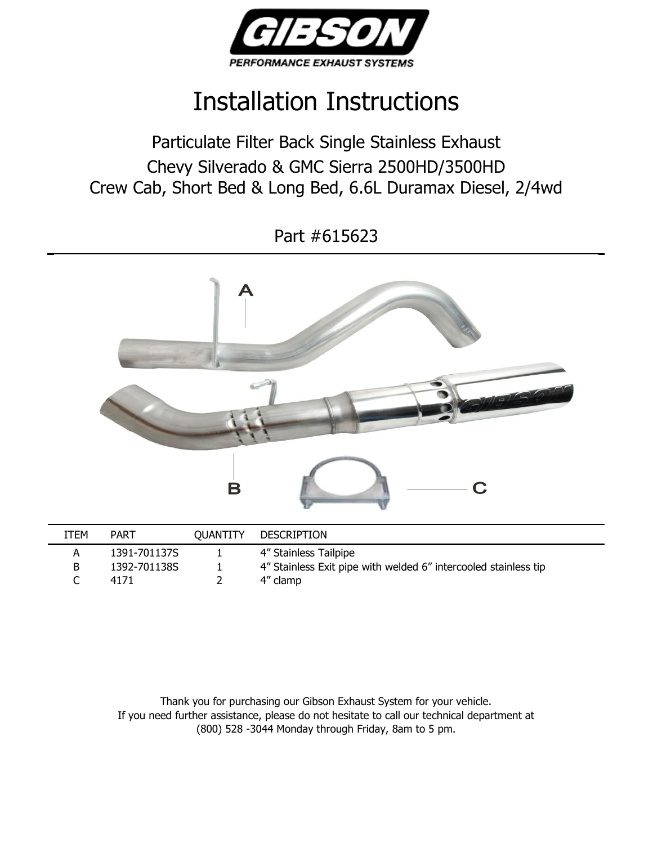

## Installation Instructions

Particulate Filter Back Single Stainless Exhaust Chevy Silverado & GMC Sierra 2500HD/3500HD Crew Cab, Short Bed & Long Bed, 6.6L Duramax Diesel, 2/4wd

Part #615623



| ITEM | PART         | <b>OUANTITY</b> | <b>DESCRIPTION</b>                                              |
|------|--------------|-----------------|-----------------------------------------------------------------|
|      | 1391-701137S |                 | 4" Stainless Tailpipe                                           |
| B.   | 1392-701138S |                 | 4" Stainless Exit pipe with welded 6" intercooled stainless tip |
|      | 4171         |                 | 4" clamp                                                        |
|      |              |                 |                                                                 |

Thank you for purchasing our Gibson Exhaust System for your vehicle. If you need further assistance, please do not hesitate to call our technical department at (800) 528 -3044 Monday through Friday, 8am to 5 pm.